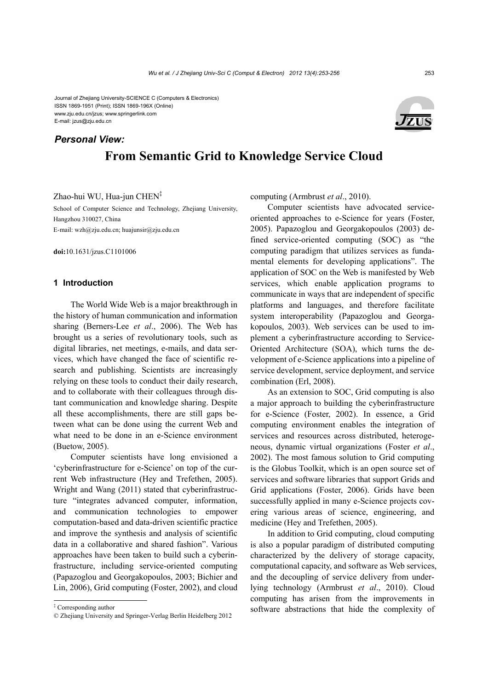Journal of Zhejiang University-SCIENCE C (Computers & Electronics) ISSN 1869-1951 (Print); ISSN 1869-196X (Online) www.zju.edu.cn/jzus; www.springerlink.com E-mail: jzus@zju.edu.cn



# **From Semantic Grid to Knowledge Service Cloud**

Zhao-hui WU, Hua-jun CHEN‡

School of Computer Science and Technology, Zhejiang University, Hangzhou 310027, China E-mail: wzh@zju.edu.cn; huajunsir@zju.edu.cn

**doi:**10.1631/jzus.C1101006

*Personal View:*

## **1 Introduction**

The World Wide Web is a major breakthrough in the history of human communication and information sharing (Berners-Lee *et al*., 2006). The Web has brought us a series of revolutionary tools, such as digital libraries, net meetings, e-mails, and data services, which have changed the face of scientific research and publishing. Scientists are increasingly relying on these tools to conduct their daily research, and to collaborate with their colleagues through distant communication and knowledge sharing. Despite all these accomplishments, there are still gaps between what can be done using the current Web and what need to be done in an e-Science environment (Buetow, 2005).

Computer scientists have long envisioned a 'cyberinfrastructure for e-Science' on top of the current Web infrastructure (Hey and Trefethen, 2005). Wright and Wang (2011) stated that cyberinfrastructure "integrates advanced computer, information, and communication technologies to empower computation-based and data-driven scientific practice and improve the synthesis and analysis of scientific data in a collaborative and shared fashion". Various approaches have been taken to build such a cyberinfrastructure, including service-oriented computing (Papazoglou and Georgakopoulos, 2003; Bichier and Lin, 2006), Grid computing (Foster, 2002), and cloud

computing (Armbrust *et al*., 2010).

Computer scientists have advocated serviceoriented approaches to e-Science for years (Foster, 2005). Papazoglou and Georgakopoulos (2003) defined service-oriented computing (SOC) as "the computing paradigm that utilizes services as fundamental elements for developing applications". The application of SOC on the Web is manifested by Web services, which enable application programs to communicate in ways that are independent of specific platforms and languages, and therefore facilitate system interoperability (Papazoglou and Georgakopoulos, 2003). Web services can be used to implement a cyberinfrastructure according to Service-Oriented Architecture (SOA), which turns the development of e-Science applications into a pipeline of service development, service deployment, and service combination (Erl, 2008).

As an extension to SOC, Grid computing is also a major approach to building the cyberinfrastructure for e-Science (Foster, 2002). In essence, a Grid computing environment enables the integration of services and resources across distributed, heterogeneous, dynamic virtual organizations (Foster *et al*., 2002). The most famous solution to Grid computing is the Globus Toolkit, which is an open source set of services and software libraries that support Grids and Grid applications (Foster, 2006). Grids have been successfully applied in many e-Science projects covering various areas of science, engineering, and medicine (Hey and Trefethen, 2005).

In addition to Grid computing, cloud computing is also a popular paradigm of distributed computing characterized by the delivery of storage capacity, computational capacity, and software as Web services, and the decoupling of service delivery from underlying technology (Armbrust *et al*., 2010). Cloud computing has arisen from the improvements in software abstractions that hide the complexity of

<sup>‡</sup> Corresponding author

<sup>©</sup> Zhejiang University and Springer-Verlag Berlin Heidelberg 2012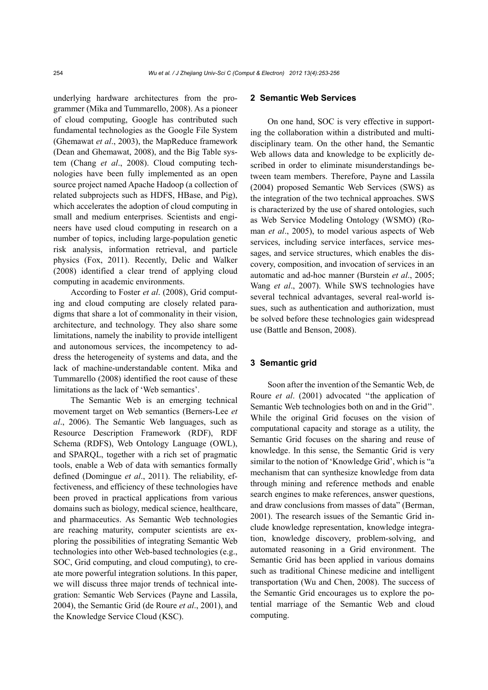underlying hardware architectures from the programmer (Mika and Tummarello, 2008). As a pioneer of cloud computing, Google has contributed such fundamental technologies as the Google File System (Ghemawat *et al*., 2003), the MapReduce framework (Dean and Ghemawat, 2008), and the Big Table system (Chang *et al*., 2008). Cloud computing technologies have been fully implemented as an open source project named Apache Hadoop (a collection of related subprojects such as HDFS, HBase, and Pig), which accelerates the adoption of cloud computing in small and medium enterprises. Scientists and engineers have used cloud computing in research on a number of topics, including large-population genetic risk analysis, information retrieval, and particle physics (Fox, 2011). Recently, Delic and Walker (2008) identified a clear trend of applying cloud computing in academic environments.

According to Foster *et al*. (2008), Grid computing and cloud computing are closely related paradigms that share a lot of commonality in their vision, architecture, and technology. They also share some limitations, namely the inability to provide intelligent and autonomous services, the incompetency to address the heterogeneity of systems and data, and the lack of machine-understandable content. Mika and Tummarello (2008) identified the root cause of these limitations as the lack of 'Web semantics'.

The Semantic Web is an emerging technical movement target on Web semantics (Berners-Lee *et al*., 2006). The Semantic Web languages, such as Resource Description Framework (RDF), RDF Schema (RDFS), Web Ontology Language (OWL), and SPARQL, together with a rich set of pragmatic tools, enable a Web of data with semantics formally defined (Domingue *et al*., 2011). The reliability, effectiveness, and efficiency of these technologies have been proved in practical applications from various domains such as biology, medical science, healthcare, and pharmaceutics. As Semantic Web technologies are reaching maturity, computer scientists are exploring the possibilities of integrating Semantic Web technologies into other Web-based technologies (e.g., SOC, Grid computing, and cloud computing), to create more powerful integration solutions. In this paper, we will discuss three major trends of technical integration: Semantic Web Services (Payne and Lassila, 2004), the Semantic Grid (de Roure *et al*., 2001), and the Knowledge Service Cloud (KSC).

## **2 Semantic Web Services**

On one hand, SOC is very effective in supporting the collaboration within a distributed and multidisciplinary team. On the other hand, the Semantic Web allows data and knowledge to be explicitly described in order to eliminate misunderstandings between team members. Therefore, Payne and Lassila (2004) proposed Semantic Web Services (SWS) as the integration of the two technical approaches. SWS is characterized by the use of shared ontologies, such as Web Service Modeling Ontology (WSMO) (Roman *et al*., 2005), to model various aspects of Web services, including service interfaces, service messages, and service structures, which enables the discovery, composition, and invocation of services in an automatic and ad-hoc manner (Burstein *et al*., 2005; Wang *et al*., 2007). While SWS technologies have several technical advantages, several real-world issues, such as authentication and authorization, must be solved before these technologies gain widespread use (Battle and Benson, 2008).

# **3 Semantic grid**

Soon after the invention of the Semantic Web, de Roure *et al*. (2001) advocated ''the application of Semantic Web technologies both on and in the Grid''. While the original Grid focuses on the vision of computational capacity and storage as a utility, the Semantic Grid focuses on the sharing and reuse of knowledge. In this sense, the Semantic Grid is very similar to the notion of 'Knowledge Grid', which is "a mechanism that can synthesize knowledge from data through mining and reference methods and enable search engines to make references, answer questions, and draw conclusions from masses of data" (Berman, 2001). The research issues of the Semantic Grid include knowledge representation, knowledge integration, knowledge discovery, problem-solving, and automated reasoning in a Grid environment. The Semantic Grid has been applied in various domains such as traditional Chinese medicine and intelligent transportation (Wu and Chen, 2008). The success of the Semantic Grid encourages us to explore the potential marriage of the Semantic Web and cloud computing.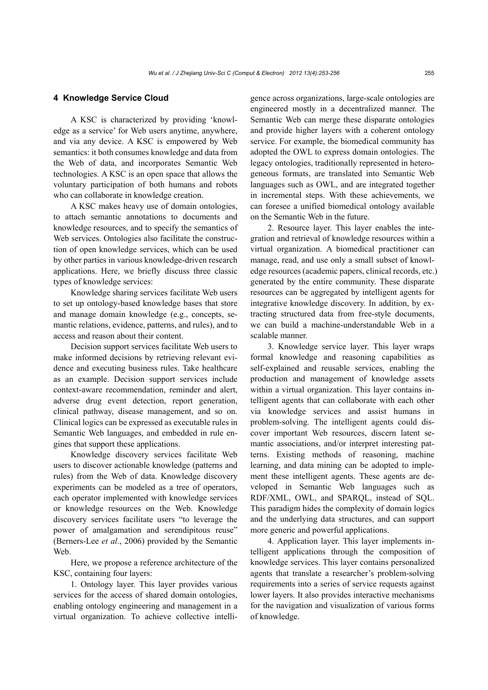## **4 Knowledge Service Cloud**

A KSC is characterized by providing 'knowledge as a service' for Web users anytime, anywhere, and via any device. A KSC is empowered by Web semantics: it both consumes knowledge and data from the Web of data, and incorporates Semantic Web technologies. A KSC is an open space that allows the voluntary participation of both humans and robots who can collaborate in knowledge creation.

A KSC makes heavy use of domain ontologies, to attach semantic annotations to documents and knowledge resources, and to specify the semantics of Web services. Ontologies also facilitate the construction of open knowledge services, which can be used by other parties in various knowledge-driven research applications. Here, we briefly discuss three classic types of knowledge services:

Knowledge sharing services facilitate Web users to set up ontology-based knowledge bases that store and manage domain knowledge (e.g., concepts, semantic relations, evidence, patterns, and rules), and to access and reason about their content.

Decision support services facilitate Web users to make informed decisions by retrieving relevant evidence and executing business rules. Take healthcare as an example. Decision support services include context-aware recommendation, reminder and alert, adverse drug event detection, report generation, clinical pathway, disease management, and so on. Clinical logics can be expressed as executable rules in Semantic Web languages, and embedded in rule engines that support these applications.

Knowledge discovery services facilitate Web users to discover actionable knowledge (patterns and rules) from the Web of data. Knowledge discovery experiments can be modeled as a tree of operators, each operator implemented with knowledge services or knowledge resources on the Web. Knowledge discovery services facilitate users "to leverage the power of amalgamation and serendipitous reuse" (Berners-Lee *et al*., 2006) provided by the Semantic Web.

Here, we propose a reference architecture of the KSC, containing four layers:

1. Ontology layer. This layer provides various services for the access of shared domain ontologies, enabling ontology engineering and management in a virtual organization. To achieve collective intelligence across organizations, large-scale ontologies are engineered mostly in a decentralized manner. The Semantic Web can merge these disparate ontologies and provide higher layers with a coherent ontology service. For example, the biomedical community has adopted the OWL to express domain ontologies. The legacy ontologies, traditionally represented in heterogeneous formats, are translated into Semantic Web languages such as OWL, and are integrated together in incremental steps. With these achievements, we can foresee a unified biomedical ontology available on the Semantic Web in the future.

2. Resource layer. This layer enables the integration and retrieval of knowledge resources within a virtual organization. A biomedical practitioner can manage, read, and use only a small subset of knowledge resources (academic papers, clinical records, etc.) generated by the entire community. These disparate resources can be aggregated by intelligent agents for integrative knowledge discovery. In addition, by extracting structured data from free-style documents, we can build a machine-understandable Web in a scalable manner.

3. Knowledge service layer. This layer wraps formal knowledge and reasoning capabilities as self-explained and reusable services, enabling the production and management of knowledge assets within a virtual organization. This layer contains intelligent agents that can collaborate with each other via knowledge services and assist humans in problem-solving. The intelligent agents could discover important Web resources, discern latent semantic associations, and/or interpret interesting patterns. Existing methods of reasoning, machine learning, and data mining can be adopted to implement these intelligent agents. These agents are developed in Semantic Web languages such as RDF/XML, OWL, and SPARQL, instead of SQL. This paradigm hides the complexity of domain logics and the underlying data structures, and can support more generic and powerful applications.

4. Application layer. This layer implements intelligent applications through the composition of knowledge services. This layer contains personalized agents that translate a researcher's problem-solving requirements into a series of service requests against lower layers. It also provides interactive mechanisms for the navigation and visualization of various forms of knowledge.